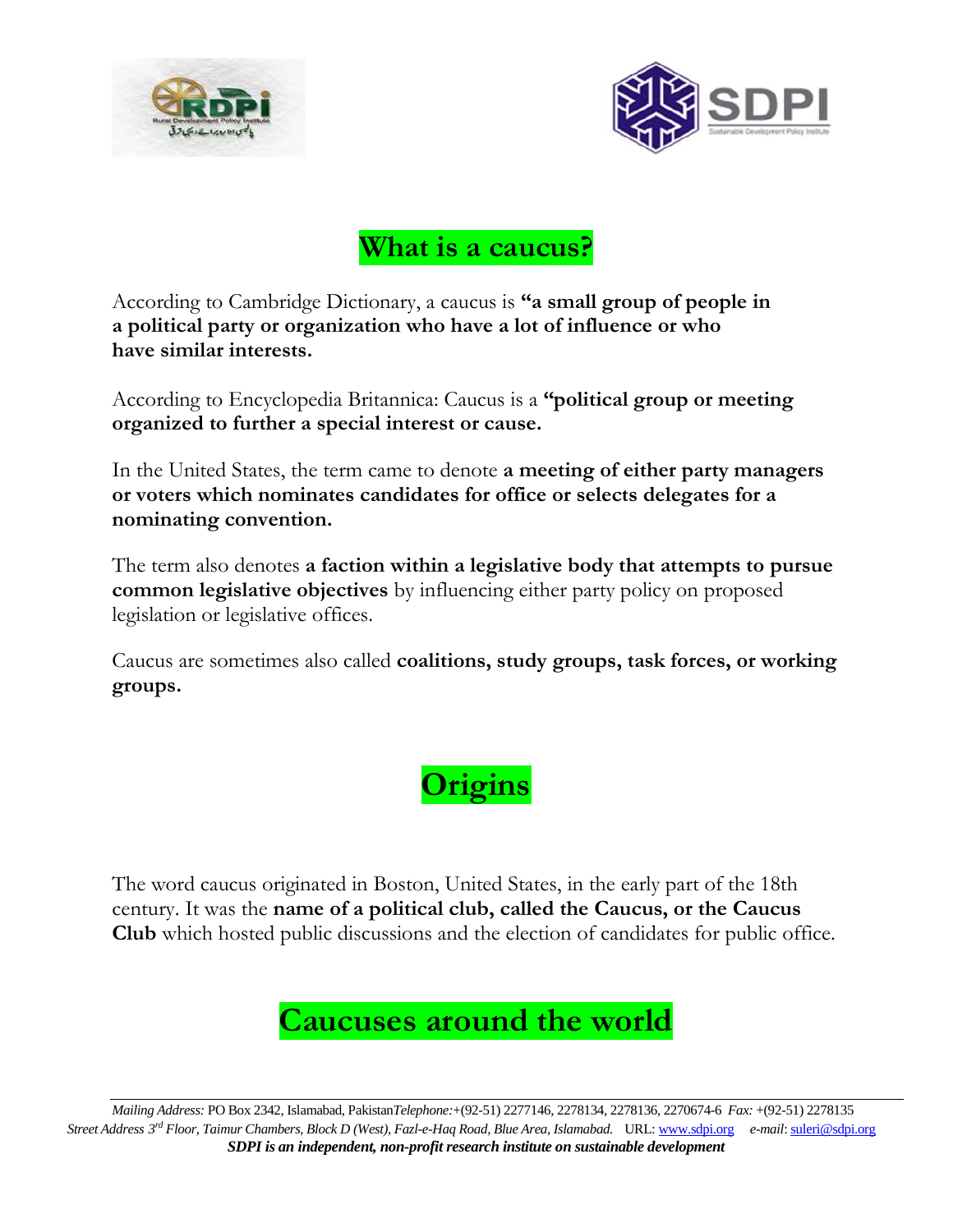



### **What is a caucus?**

According to Cambridge Dictionary, a caucus is **"a [small](https://dictionary.cambridge.org/dictionary/english/small) [group](https://dictionary.cambridge.org/dictionary/english/group) of [people](https://dictionary.cambridge.org/dictionary/english/people) in a [political](https://dictionary.cambridge.org/dictionary/english/political) [party](https://dictionary.cambridge.org/dictionary/english/party) or [organization](https://dictionary.cambridge.org/dictionary/english/organization) who have a lot of [influence](https://dictionary.cambridge.org/dictionary/english/influence) or who have [similar](https://dictionary.cambridge.org/dictionary/english/similar) [interests.](https://dictionary.cambridge.org/dictionary/english/interest)** 

According to Encyclopedia Britannica: Caucus is a **"political group or meeting organized to further a special interest or cause.**

In the [United States,](https://www.britannica.com/place/United-States) the term came to denote **a meeting of either party managers or voters which nominates candidates for office or selects delegates for a nominating convention.**

The term also denotes **a faction within a legislative body that attempts to pursue common legislative objectives** by influencing either party policy on proposed legislation or legislative offices.

Caucus are sometimes also called **[coalitions,](https://en.wikipedia.org/wiki/Coalitions) study groups, task forces, or working groups.**



The word caucus originated in [Boston,](https://www.britannica.com/place/Boston) United States, in the early part of the 18th century. It was the **name of a political club, called the Caucus, or the Caucus Club** which hosted public discussions and the election of candidates for public office.

### **Caucuses around the world**

*Mailing Address:* PO Box 2342, Islamabad, Pakistan*Telephone:*+(92-51) 2277146, 2278134, 2278136, 2270674-6 *Fax:* +(92-51) 2278135 *Street Address 3 rd Floor, Taimur Chambers, Block D (West), Fazl-e-Haq Road, Blue Area, Islamabad.* URL[: www.sdpi.org](http://www.sdpi.org/) *e-mail*[: suleri@sdpi.org](mailto:vaqar@sdpi.org) *SDPI is an independent, non-profit research institute on sustainable development*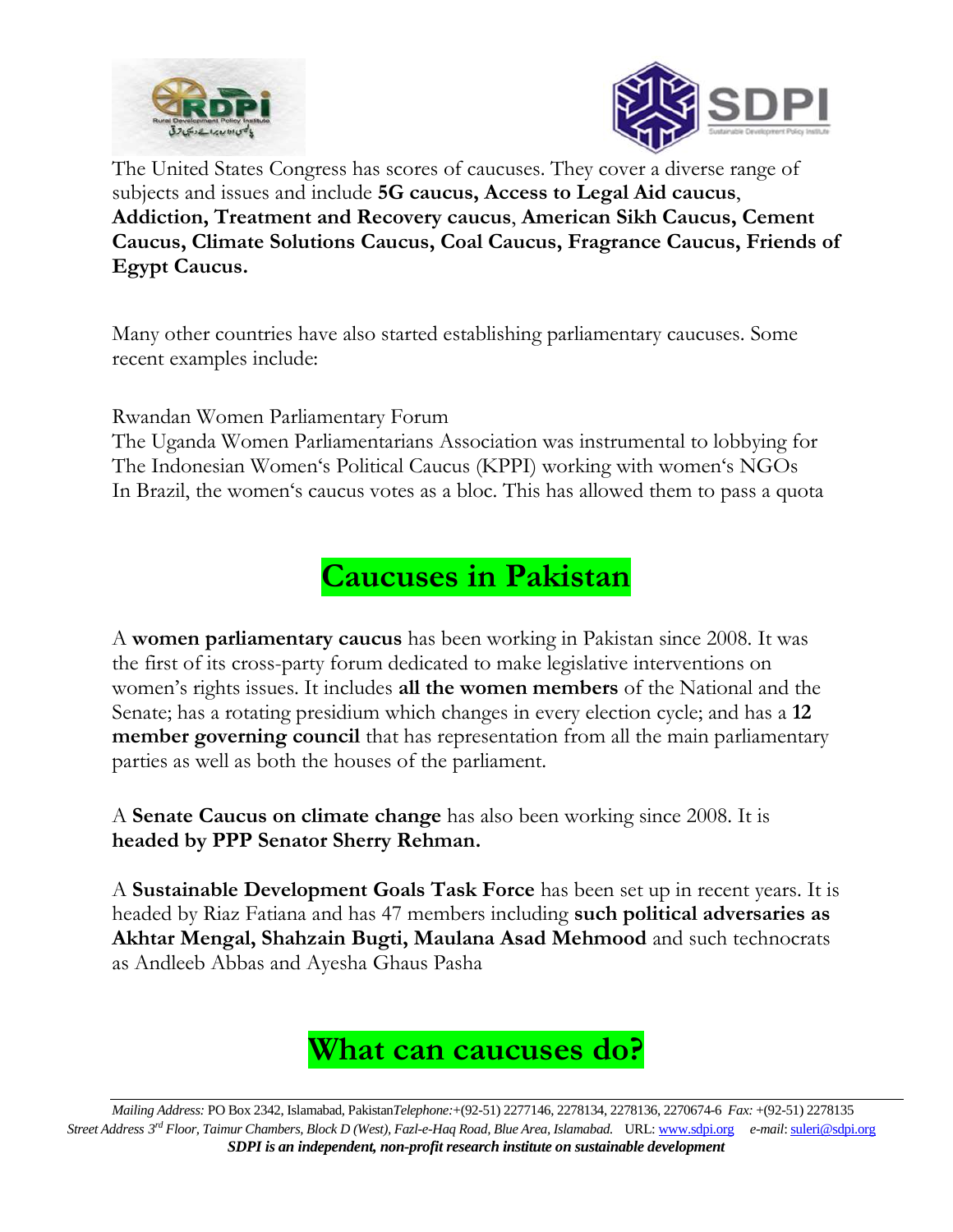



The United States Congress has scores of caucuses. They cover a diverse range of subjects and issues and include **5G caucus, Access to Legal Aid caucus**, **Addiction, Treatment and Recovery caucus**, **American Sikh Caucus, Cement Caucus, Climate Solutions Caucus, Coal Caucus, Fragrance Caucus, Friends of Egypt Caucus.** 

Many other countries have also started establishing parliamentary caucuses. Some recent examples include:

Rwandan Women Parliamentary Forum

The Uganda Women Parliamentarians Association was instrumental to lobbying for The Indonesian Women's Political Caucus (KPPI) working with women's NGOs In Brazil, the women's caucus votes as a bloc. This has allowed them to pass a quota

**Caucuses in Pakistan**

A **women parliamentary caucus** has been working in Pakistan since 2008. It was the first of its cross-party forum dedicated to make legislative interventions on women's rights issues. It includes **all the women members** of the National and the Senate; has a rotating presidium which changes in every election cycle; and has a **12 member governing council** that has representation from all the main parliamentary parties as well as both the houses of the parliament.

A **Senate Caucus on climate change** has also been working since 2008. It is **headed by PPP Senator Sherry Rehman.** 

A **Sustainable Development Goals Task Force** has been set up in recent years. It is headed by Riaz Fatiana and has 47 members including **such political adversaries as Akhtar Mengal, Shahzain Bugti, Maulana Asad Mehmood** and such technocrats as Andleeb Abbas and Ayesha Ghaus Pasha



*Mailing Address:* PO Box 2342, Islamabad, Pakistan*Telephone:*+(92-51) 2277146, 2278134, 2278136, 2270674-6 *Fax:* +(92-51) 2278135 *Street Address 3 rd Floor, Taimur Chambers, Block D (West), Fazl-e-Haq Road, Blue Area, Islamabad.* URL[: www.sdpi.org](http://www.sdpi.org/) *e-mail*[: suleri@sdpi.org](mailto:vaqar@sdpi.org) *SDPI is an independent, non-profit research institute on sustainable development*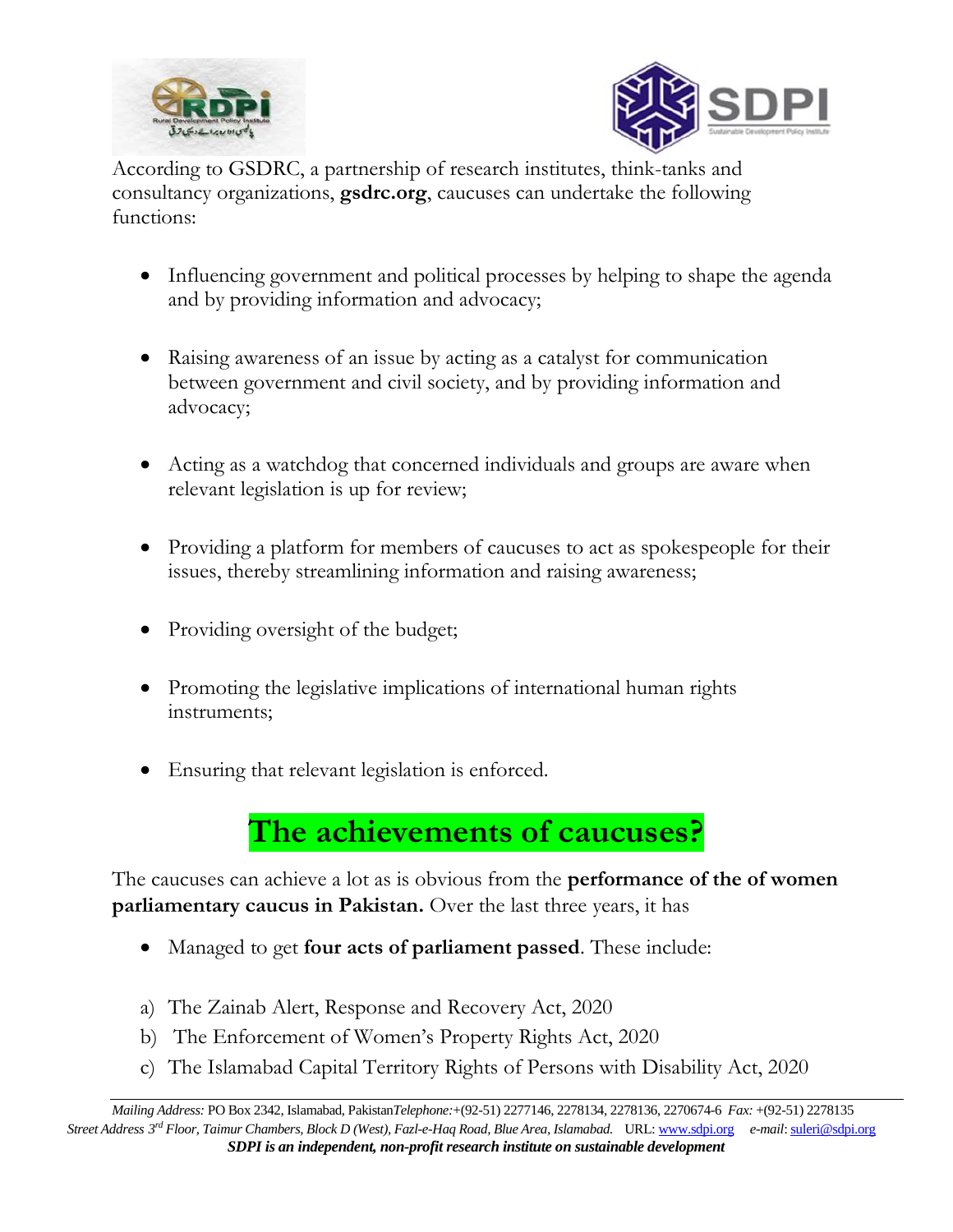



According to GSDRC, a partnership of research institutes, think-tanks and consultancy organizations, **[gsdrc.org](http://gsdrc.org/docs/open/hd593.pdf)**, caucuses can undertake the following functions:

- Influencing government and political processes by helping to shape the agenda and by providing information and advocacy;
- Raising awareness of an issue by acting as a catalyst for communication between government and civil society, and by providing information and advocacy;
- Acting as a watchdog that concerned individuals and groups are aware when relevant legislation is up for review;
- Providing a platform for members of caucuses to act as spokespeople for their issues, thereby streamlining information and raising awareness;
- Providing oversight of the budget;
- Promoting the legislative implications of international human rights instruments;
- Ensuring that relevant legislation is enforced.

### **The achievements of caucuses?**

The caucuses can achieve a lot as is obvious from the **performance of the of women parliamentary caucus in Pakistan.** Over the last three years, it has

- Managed to get **four acts of parliament passed**. These include:
- a) The Zainab Alert, [Response](http://www.na.gov.pk/uploads/documents/1591608391_324.pdf) and Recovery Act, 2020
- b) The [Enforcement](http://www.na.gov.pk/uploads/documents/1584020565_708.pdf) of Women's Property Rights Act, 2020
- c) The [Islamabad](http://www.na.gov.pk/uploads/documents/1601028302_229.pdf) Capital Territory Rights of Persons with Disability Act, 2020

*Mailing Address:* PO Box 2342, Islamabad, Pakistan*Telephone:*+(92-51) 2277146, 2278134, 2278136, 2270674-6 *Fax:* +(92-51) 2278135 *Street Address 3 rd Floor, Taimur Chambers, Block D (West), Fazl-e-Haq Road, Blue Area, Islamabad.* URL[: www.sdpi.org](http://www.sdpi.org/) *e-mail*[: suleri@sdpi.org](mailto:vaqar@sdpi.org) *SDPI is an independent, non-profit research institute on sustainable development*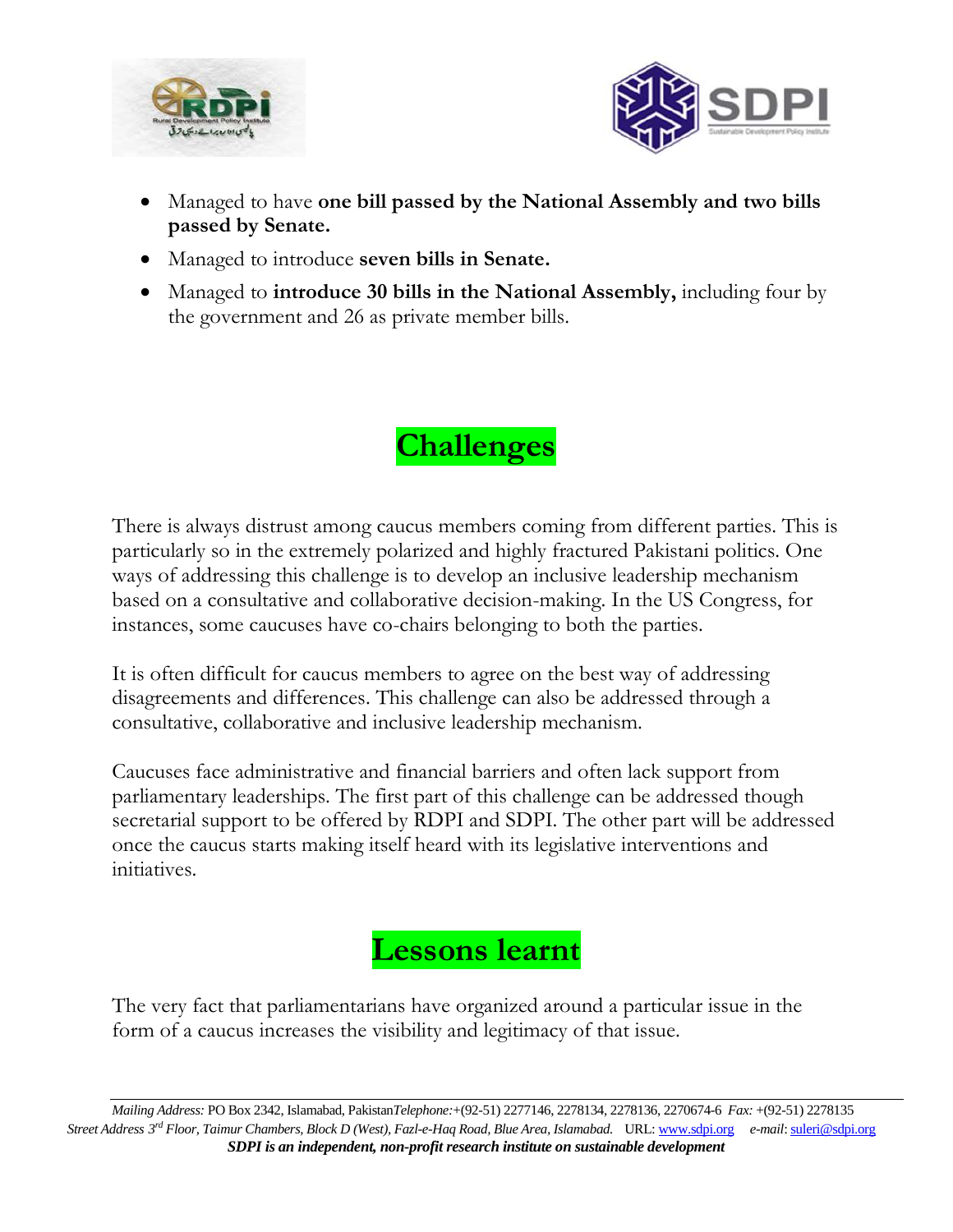



- Managed to have **one bill passed by the National Assembly and two bills passed by Senate.**
- Managed to introduce **seven bills in Senate.**
- Managed to **introduce 30 bills in the National Assembly,** including four by the government and 26 as private member bills.

# **Challenges**

There is always distrust among caucus members coming from different parties. This is particularly so in the extremely polarized and highly fractured Pakistani politics. One ways of addressing this challenge is to develop an inclusive leadership mechanism based on a consultative and collaborative decision-making. In the US Congress, for instances, some caucuses have co-chairs belonging to both the parties.

It is often difficult for caucus members to agree on the best way of addressing disagreements and differences. This challenge can also be addressed through a consultative, collaborative and inclusive leadership mechanism.

Caucuses face administrative and financial barriers and often lack support from parliamentary leaderships. The first part of this challenge can be addressed though secretarial support to be offered by RDPI and SDPI. The other part will be addressed once the caucus starts making itself heard with its legislative interventions and initiatives.

## **Lessons learnt**

The very fact that parliamentarians have organized around a particular issue in the form of a caucus increases the visibility and legitimacy of that issue.

*Mailing Address:* PO Box 2342, Islamabad, Pakistan*Telephone:*+(92-51) 2277146, 2278134, 2278136, 2270674-6 *Fax:* +(92-51) 2278135 *Street Address 3 rd Floor, Taimur Chambers, Block D (West), Fazl-e-Haq Road, Blue Area, Islamabad.* URL[: www.sdpi.org](http://www.sdpi.org/) *e-mail*[: suleri@sdpi.org](mailto:vaqar@sdpi.org) *SDPI is an independent, non-profit research institute on sustainable development*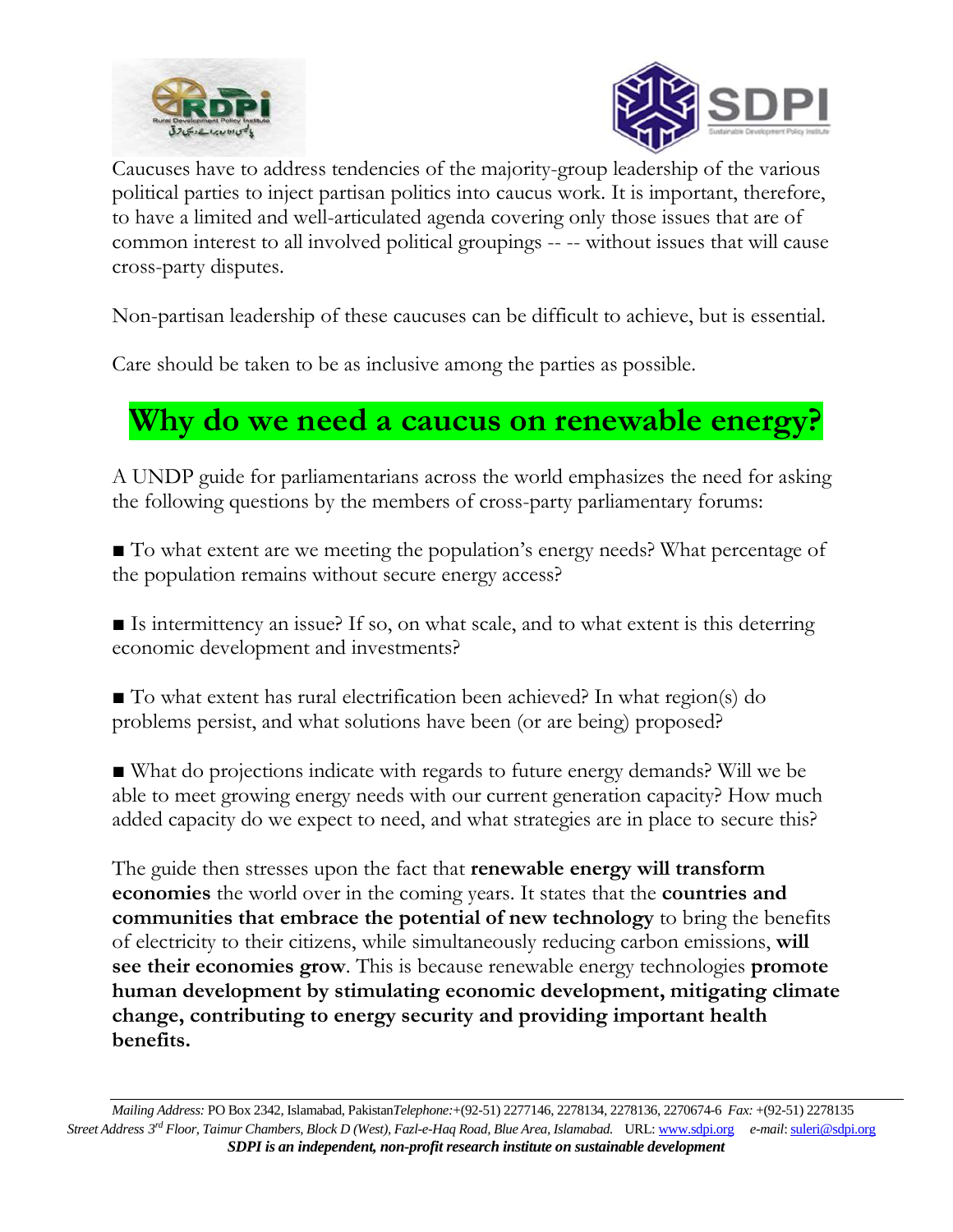



Caucuses have to address tendencies of the majority-group leadership of the various political parties to inject partisan politics into caucus work. It is important, therefore, to have a limited and well-articulated agenda covering only those issues that are of common interest to all involved political groupings -- -- without issues that will cause cross-party disputes.

Non-partisan leadership of these caucuses can be difficult to achieve, but is essential.

Care should be taken to be as inclusive among the parties as possible.

## **Why do we need a caucus on renewable energy?**

A UNDP guide for parliamentarians across the world emphasizes the need for asking the following questions by the members of cross-party parliamentary forums:

■ To what extent are we meeting the population's energy needs? What percentage of the population remains without secure energy access?

■ Is intermittency an issue? If so, on what scale, and to what extent is this deterring economic development and investments?

■ To what extent has rural electrification been achieved? In what region(s) do problems persist, and what solutions have been (or are being) proposed?

■ What do projections indicate with regards to future energy demands? Will we be able to meet growing energy needs with our current generation capacity? How much added capacity do we expect to need, and what strategies are in place to secure this?

The guide then stresses upon the fact that **renewable energy will transform economies** the world over in the coming years. It states that the **countries and communities that embrace the potential of new technology** to bring the benefits of electricity to their citizens, while simultaneously reducing carbon emissions, **will see their economies grow**. This is because renewable energy technologies **promote human development by stimulating economic development, mitigating climate change, contributing to energy security and providing important health benefits.**